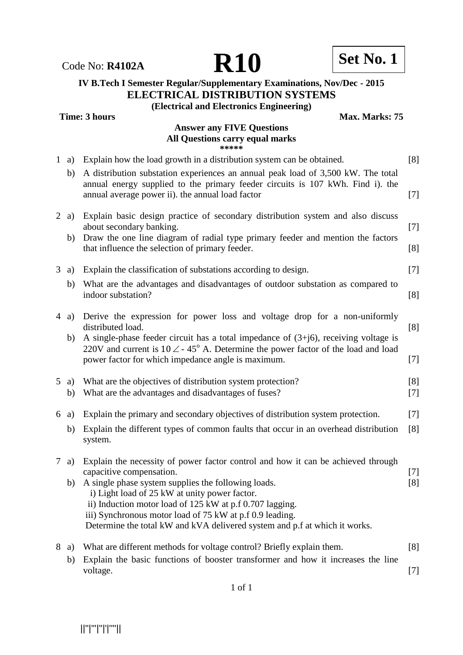Code No: **R4102A R10 R10 Set No. 1** 

## **IV B.Tech I Semester Regular/Supplementary Examinations, Nov/Dec - 2015 ELECTRICAL DISTRIBUTION SYSTEMS (Electrical and Electronics Engineering)**

**Time: 3 hours Max. Marks: 75** 

# **Answer any FIVE Questions All Questions carry equal marks**

| Explain how the load growth in a distribution system can be obtained.<br>$\mathbf{1}$<br>a)<br>A distribution substation experiences an annual peak load of 3,500 kW. The total<br>b)<br>annual energy supplied to the primary feeder circuits is 107 kWh. Find i). the<br>annual average power ii). the annual load factor<br>Explain basic design practice of secondary distribution system and also discuss<br>$2$ a)<br>about secondary banking.<br>Draw the one line diagram of radial type primary feeder and mention the factors<br>b)<br>that influence the selection of primary feeder.<br>Explain the classification of substations according to design.<br>3<br>a)<br>What are the advantages and disadvantages of outdoor substation as compared to<br>b)<br>indoor substation?<br>Derive the expression for power loss and voltage drop for a non-uniformly<br>$4$ a)<br>distributed load.<br>A single-phase feeder circuit has a total impedance of $(3+j6)$ , receiving voltage is<br>b)<br>220V and current is $10 \angle -45^{\circ}$ A. Determine the power factor of the load and load<br>power factor for which impedance angle is maximum.<br>What are the objectives of distribution system protection?<br>5<br>a)<br>What are the advantages and disadvantages of fuses?<br>b)<br>Explain the primary and secondary objectives of distribution system protection.<br>6<br>a)<br>Explain the different types of common faults that occur in an overhead distribution<br>b)<br>system.<br>Explain the necessity of power factor control and how it can be achieved through<br>7<br>a)<br>capacitive compensation.<br>A single phase system supplies the following loads.<br>b)<br>i) Light load of 25 kW at unity power factor.<br>ii) Induction motor load of 125 kW at p.f 0.707 lagging. | ***** |              |
|------------------------------------------------------------------------------------------------------------------------------------------------------------------------------------------------------------------------------------------------------------------------------------------------------------------------------------------------------------------------------------------------------------------------------------------------------------------------------------------------------------------------------------------------------------------------------------------------------------------------------------------------------------------------------------------------------------------------------------------------------------------------------------------------------------------------------------------------------------------------------------------------------------------------------------------------------------------------------------------------------------------------------------------------------------------------------------------------------------------------------------------------------------------------------------------------------------------------------------------------------------------------------------------------------------------------------------------------------------------------------------------------------------------------------------------------------------------------------------------------------------------------------------------------------------------------------------------------------------------------------------------------------------------------------------------------------------------------------------------------------------------------------------------------------------------|-------|--------------|
|                                                                                                                                                                                                                                                                                                                                                                                                                                                                                                                                                                                                                                                                                                                                                                                                                                                                                                                                                                                                                                                                                                                                                                                                                                                                                                                                                                                                                                                                                                                                                                                                                                                                                                                                                                                                                  |       | [8]          |
|                                                                                                                                                                                                                                                                                                                                                                                                                                                                                                                                                                                                                                                                                                                                                                                                                                                                                                                                                                                                                                                                                                                                                                                                                                                                                                                                                                                                                                                                                                                                                                                                                                                                                                                                                                                                                  |       | $[7]$        |
|                                                                                                                                                                                                                                                                                                                                                                                                                                                                                                                                                                                                                                                                                                                                                                                                                                                                                                                                                                                                                                                                                                                                                                                                                                                                                                                                                                                                                                                                                                                                                                                                                                                                                                                                                                                                                  |       | $[7]$        |
|                                                                                                                                                                                                                                                                                                                                                                                                                                                                                                                                                                                                                                                                                                                                                                                                                                                                                                                                                                                                                                                                                                                                                                                                                                                                                                                                                                                                                                                                                                                                                                                                                                                                                                                                                                                                                  |       | [8]          |
|                                                                                                                                                                                                                                                                                                                                                                                                                                                                                                                                                                                                                                                                                                                                                                                                                                                                                                                                                                                                                                                                                                                                                                                                                                                                                                                                                                                                                                                                                                                                                                                                                                                                                                                                                                                                                  |       | $[7]$        |
|                                                                                                                                                                                                                                                                                                                                                                                                                                                                                                                                                                                                                                                                                                                                                                                                                                                                                                                                                                                                                                                                                                                                                                                                                                                                                                                                                                                                                                                                                                                                                                                                                                                                                                                                                                                                                  |       | [8]          |
|                                                                                                                                                                                                                                                                                                                                                                                                                                                                                                                                                                                                                                                                                                                                                                                                                                                                                                                                                                                                                                                                                                                                                                                                                                                                                                                                                                                                                                                                                                                                                                                                                                                                                                                                                                                                                  |       | [8]          |
|                                                                                                                                                                                                                                                                                                                                                                                                                                                                                                                                                                                                                                                                                                                                                                                                                                                                                                                                                                                                                                                                                                                                                                                                                                                                                                                                                                                                                                                                                                                                                                                                                                                                                                                                                                                                                  |       | $[7]$        |
|                                                                                                                                                                                                                                                                                                                                                                                                                                                                                                                                                                                                                                                                                                                                                                                                                                                                                                                                                                                                                                                                                                                                                                                                                                                                                                                                                                                                                                                                                                                                                                                                                                                                                                                                                                                                                  |       | [8]<br>$[7]$ |
|                                                                                                                                                                                                                                                                                                                                                                                                                                                                                                                                                                                                                                                                                                                                                                                                                                                                                                                                                                                                                                                                                                                                                                                                                                                                                                                                                                                                                                                                                                                                                                                                                                                                                                                                                                                                                  |       | $[7]$        |
|                                                                                                                                                                                                                                                                                                                                                                                                                                                                                                                                                                                                                                                                                                                                                                                                                                                                                                                                                                                                                                                                                                                                                                                                                                                                                                                                                                                                                                                                                                                                                                                                                                                                                                                                                                                                                  |       | [8]          |
|                                                                                                                                                                                                                                                                                                                                                                                                                                                                                                                                                                                                                                                                                                                                                                                                                                                                                                                                                                                                                                                                                                                                                                                                                                                                                                                                                                                                                                                                                                                                                                                                                                                                                                                                                                                                                  |       | $[7]$        |
|                                                                                                                                                                                                                                                                                                                                                                                                                                                                                                                                                                                                                                                                                                                                                                                                                                                                                                                                                                                                                                                                                                                                                                                                                                                                                                                                                                                                                                                                                                                                                                                                                                                                                                                                                                                                                  |       | [8]          |
| iii) Synchronous motor load of 75 kW at p.f 0.9 leading.                                                                                                                                                                                                                                                                                                                                                                                                                                                                                                                                                                                                                                                                                                                                                                                                                                                                                                                                                                                                                                                                                                                                                                                                                                                                                                                                                                                                                                                                                                                                                                                                                                                                                                                                                         |       |              |
| Determine the total kW and kVA delivered system and p.f at which it works.                                                                                                                                                                                                                                                                                                                                                                                                                                                                                                                                                                                                                                                                                                                                                                                                                                                                                                                                                                                                                                                                                                                                                                                                                                                                                                                                                                                                                                                                                                                                                                                                                                                                                                                                       |       |              |
| What are different methods for voltage control? Briefly explain them.<br>8<br>a)                                                                                                                                                                                                                                                                                                                                                                                                                                                                                                                                                                                                                                                                                                                                                                                                                                                                                                                                                                                                                                                                                                                                                                                                                                                                                                                                                                                                                                                                                                                                                                                                                                                                                                                                 |       | [8]          |
| Explain the basic functions of booster transformer and how it increases the line<br>b)<br>voltage.                                                                                                                                                                                                                                                                                                                                                                                                                                                                                                                                                                                                                                                                                                                                                                                                                                                                                                                                                                                                                                                                                                                                                                                                                                                                                                                                                                                                                                                                                                                                                                                                                                                                                                               |       | $[7]$        |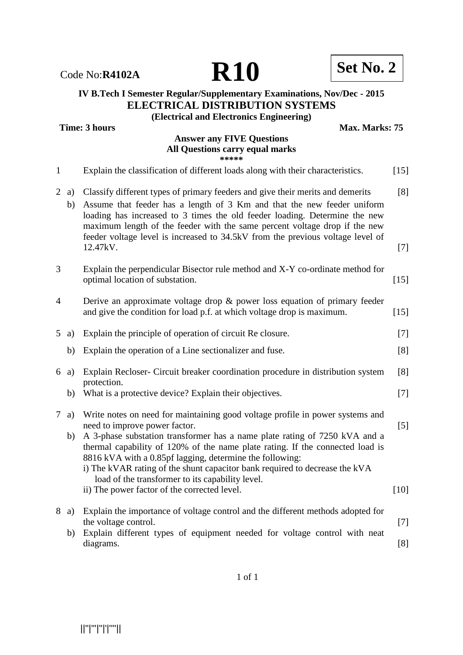**Time: 3 hours Max. Marks: 75** 

#### **Answer any FIVE Questions All Questions carry equal marks \*\*\*\*\***

| $\mathbf{1}$   |              | Explain the classification of different loads along with their characteristics.                                                                                                                                                                                                                                                                                                                                                                                              | $[15]$       |
|----------------|--------------|------------------------------------------------------------------------------------------------------------------------------------------------------------------------------------------------------------------------------------------------------------------------------------------------------------------------------------------------------------------------------------------------------------------------------------------------------------------------------|--------------|
|                | $2$ a)<br>b) | Classify different types of primary feeders and give their merits and demerits<br>Assume that feeder has a length of 3 Km and that the new feeder uniform<br>loading has increased to 3 times the old feeder loading. Determine the new<br>maximum length of the feeder with the same percent voltage drop if the new<br>feeder voltage level is increased to 34.5kV from the previous voltage level of<br>12.47kV.                                                          | [8]<br>$[7]$ |
| 3              |              | Explain the perpendicular Bisector rule method and X-Y co-ordinate method for<br>optimal location of substation.                                                                                                                                                                                                                                                                                                                                                             | $[15]$       |
| $\overline{4}$ |              | Derive an approximate voltage drop $\&$ power loss equation of primary feeder<br>and give the condition for load p.f. at which voltage drop is maximum.                                                                                                                                                                                                                                                                                                                      | $[15]$       |
| 5              | a)           | Explain the principle of operation of circuit Re closure.                                                                                                                                                                                                                                                                                                                                                                                                                    | $[7]$        |
|                | b)           | Explain the operation of a Line sectionalizer and fuse.                                                                                                                                                                                                                                                                                                                                                                                                                      | [8]          |
|                | 6a)          | Explain Recloser- Circuit breaker coordination procedure in distribution system<br>protection.                                                                                                                                                                                                                                                                                                                                                                               | [8]          |
|                | b)           | What is a protective device? Explain their objectives.                                                                                                                                                                                                                                                                                                                                                                                                                       | $[7]$        |
| $\tau$         | a)<br>b)     | Write notes on need for maintaining good voltage profile in power systems and<br>need to improve power factor.<br>A 3-phase substation transformer has a name plate rating of 7250 kVA and a<br>thermal capability of 120% of the name plate rating. If the connected load is<br>8816 kVA with a 0.85pf lagging, determine the following:<br>i) The kVAR rating of the shunt capacitor bank required to decrease the kVA<br>load of the transformer to its capability level. | $[5]$        |
|                |              | ii) The power factor of the corrected level.                                                                                                                                                                                                                                                                                                                                                                                                                                 | $[10]$       |
| 8              | a)           | Explain the importance of voltage control and the different methods adopted for<br>the voltage control.<br>Explain different types of equipment needed for voltage control with neat                                                                                                                                                                                                                                                                                         | $[7]$        |
|                | b)           | diagrams.                                                                                                                                                                                                                                                                                                                                                                                                                                                                    | [8]          |

||''|'''|''|'|''''||

Code No:**R4102A R10 Set No. 2**

**IV B.Tech I Semester Regular/Supplementary Examinations, Nov/Dec - 2015 ELECTRICAL DISTRIBUTION SYSTEMS (Electrical and Electronics Engineering)**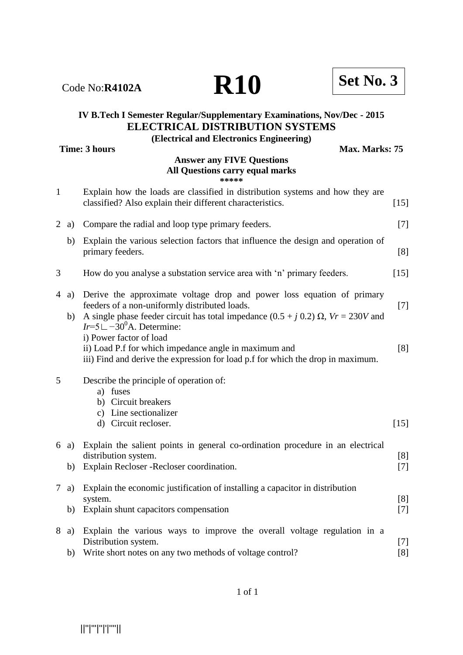||''|'''|''|'|''''||

# **IV B.Tech I Semester Regular/Supplementary Examinations, Nov/Dec - 2015 ELECTRICAL DISTRIBUTION SYSTEMS**

**(Electrical and Electronics Engineering)**

**Time: 3 hours Max. Marks: 75** 

### **Answer any FIVE Questions All Questions carry equal marks \*\*\*\*\***

1 Explain how the loads are classified in distribution systems and how they are

|                |            | classified? Also explain their different characteristics.                                                                                                                                                                                                                        | $[15]$       |
|----------------|------------|----------------------------------------------------------------------------------------------------------------------------------------------------------------------------------------------------------------------------------------------------------------------------------|--------------|
|                | $2$ a)     | Compare the radial and loop type primary feeders.                                                                                                                                                                                                                                | $[7]$        |
|                | b)         | Explain the various selection factors that influence the design and operation of<br>primary feeders.                                                                                                                                                                             | [8]          |
| 3              |            | How do you analyse a substation service area with 'n' primary feeders.                                                                                                                                                                                                           | $[15]$       |
| $\overline{4}$ | a)<br>b)   | Derive the approximate voltage drop and power loss equation of primary<br>feeders of a non-uniformly distributed loads.<br>A single phase feeder circuit has total impedance $(0.5 + j 0.2)$ $\Omega$ , $Vr = 230V$ and<br>$Ir=5L-30^0$ A. Determine:<br>i) Power factor of load | $[7]$        |
|                |            | ii) Load P.f for which impedance angle in maximum and<br>iii) Find and derive the expression for load p.f for which the drop in maximum.                                                                                                                                         | [8]          |
| 5              |            | Describe the principle of operation of:<br>a) fuses<br>b) Circuit breakers<br>c) Line sectionalizer<br>d) Circuit recloser.                                                                                                                                                      | $[15]$       |
|                |            |                                                                                                                                                                                                                                                                                  |              |
|                | 6 a)<br>b) | Explain the salient points in general co-ordination procedure in an electrical<br>distribution system.<br>Explain Recloser - Recloser coordination.                                                                                                                              | [8]<br>$[7]$ |
| $\tau$         | a)<br>b)   | Explain the economic justification of installing a capacitor in distribution<br>system.<br>Explain shunt capacitors compensation                                                                                                                                                 | [8]<br>$[7]$ |
| 8              | a)         | Explain the various ways to improve the overall voltage regulation in a<br>Distribution system.<br>b) Write short notes on any two methods of voltage control?                                                                                                                   | $[7]$<br>[8] |

1 of 1